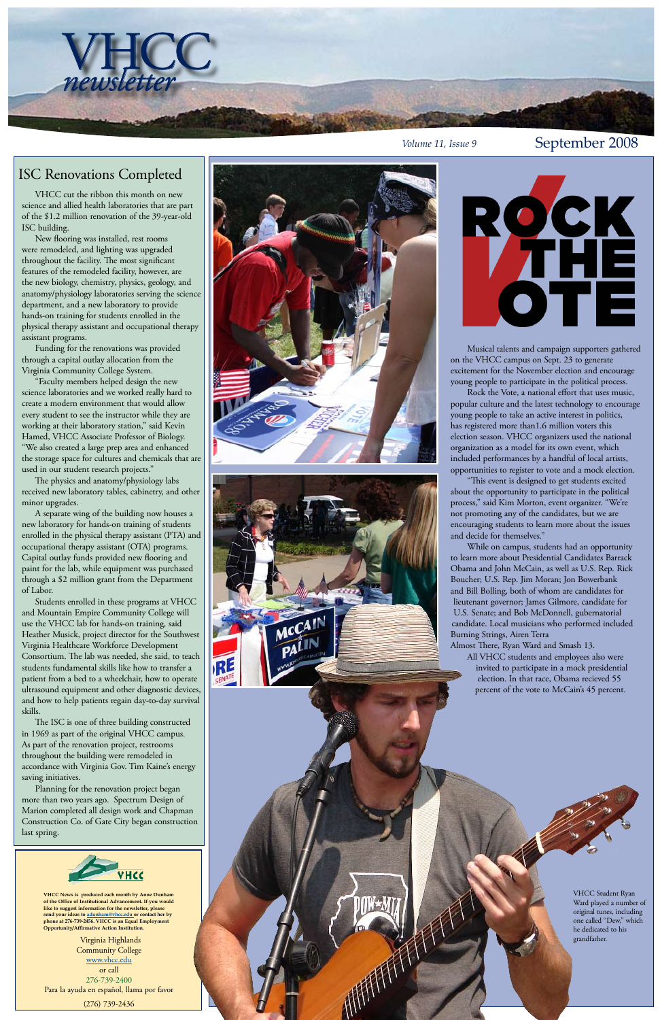Virginia Highlands Community College [www.vhcc.edu](http://www.vhcc.edu) or call 276-739-2400 Para la ayuda en español, llama por favor (276) 739-2436

**VHCC News is produced each month by Anne Dunham of the Office of Institutional Advancement. If you would like to suggest information for the newsletter, please send your ideas to [adunham@vhcc.ed](mailto:adunham@vhcc.edu)u or contact her by phone at 276-739-2456. VHCC is an Equal Employment Opportunity/Affirmative Action Institution.**



## ISC Renovations Completed

Musical talents and campaign supporters gathered on the VHCC campus on Sept. 23 to generate excitement for the November election and encourage young people to participate in the political process.

Rock the Vote, a national effort that uses music, popular culture and the latest technology to encourage young people to take an active interest in politics, has registered more than1.6 million voters this election season. VHCC organizers used the national organization as a model for its own event, which included performances by a handful of local artists, opportunities to register to vote and a mock election.

"This event is designed to get students excited about the opportunity to participate in the political process," said Kim Morton, event organizer. "We're not promoting any of the candidates, but we are encouraging students to learn more about the issues and decide for themselves."

While on campus, students had an opportunity to learn more about Presidential Candidates Barrack Obama and John McCain, as well as U.S. Rep. Rick Boucher; U.S. Rep. Jim Moran; Jon Bowerbank and Bill Bolling, both of whom are candidates for lieutenant governor; James Gilmore, candidate for U.S. Senate; and Bob McDonnell, gubernatorial candidate. Local musicians who performed included Burning Strings, Airen Terra

Almost There, Ryan Ward and Smash 13.

All VHCC students and employees also were invited to participate in a mock presidential election. In that race, Obama recieved 55 percent of the vote to McCain's 45 percent.

> VHCC Student Ryan Ward played a number of original tunes, including one called "Dew," which he dedicated to his grandfather.

VHCC cut the ribbon this month on new science and allied health laboratories that are part of the \$1.2 million renovation of the 39-year-old ISC building.

New flooring was installed, rest rooms were remodeled, and lighting was upgraded throughout the facility. The most significant features of the remodeled facility, however, are the new biology, chemistry, physics, geology, and anatomy/physiology laboratories serving the science department, and a new laboratory to provide hands-on training for students enrolled in the physical therapy assistant and occupational therapy assistant programs.

Funding for the renovations was provided through a capital outlay allocation from the Virginia Community College System.

"Faculty members helped design the new science laboratories and we worked really hard to create a modern environment that would allow every student to see the instructor while they are working at their laboratory station,'' said Kevin Hamed, VHCC Associate Professor of Biology. "We also created a large prep area and enhanced the storage space for cultures and chemicals that are used in our student research projects."

The physics and anatomy/physiology labs received new laboratory tables, cabinetry, and other minor upgrades.

A separate wing of the building now houses a new laboratory for hands-on training of students enrolled in the physical therapy assistant (PTA) and occupational therapy assistant (OTA) programs. Capital outlay funds provided new flooring and paint for the lab, while equipment was purchased through a \$2 million grant from the Department of Labor.

Students enrolled in these programs at VHCC and Mountain Empire Community College will use the VHCC lab for hands-on training, said Heather Musick, project director for the Southwest Virginia Healthcare Workforce Development Consortium. The lab was needed, she said, to teach students fundamental skills like how to transfer a patient from a bed to a wheelchair, how to operate ultrasound equipment and other diagnostic devices, and how to help patients regain day-to-day survival skills.

The ISC is one of three building constructed in 1969 as part of the original VHCC campus. As part of the renovation project, restrooms





# *Volume 11, Issue 9* September 2008



throughout the building were remodeled in accordance with Virginia Gov. Tim Kaine's energy saving initiatives.

Planning for the renovation project began more than two years ago. Spectrum Design of Marion completed all design work and Chapman Construction Co. of Gate City began construction last spring.